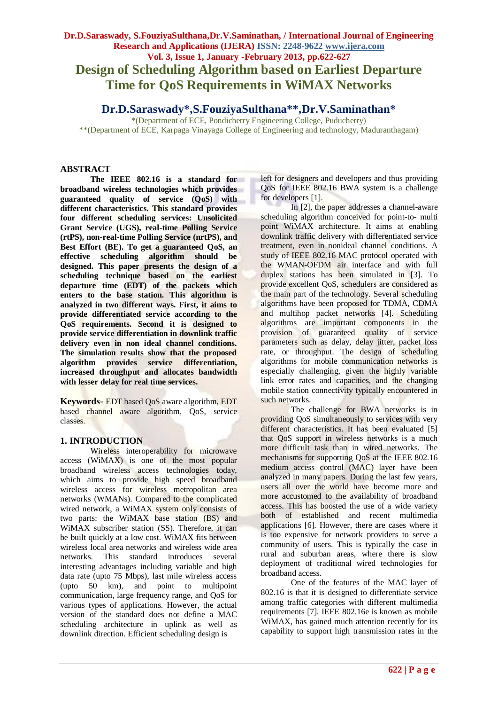# **Dr.D.Saraswady, S.FouziyaSulthana,Dr.V.Saminathan, / International Journal of Engineering Research and Applications (IJERA) ISSN: 2248-9622 www.ijera.com Vol. 3, Issue 1, January -February 2013, pp.622-627 Design of Scheduling Algorithm based on Earliest Departure Time for QoS Requirements in WiMAX Networks**

## **Dr.D.Saraswady\*,S.FouziyaSulthana\*\*,Dr.V.Saminathan\***

\*(Department of ECE, Pondicherry Engineering College, Puducherry) \*\*(Department of ECE, Karpaga Vinayaga College of Engineering and technology, Maduranthagam)

### **ABSTRACT**

**The IEEE 802.16 is a standard for broadband wireless technologies which provides guaranteed quality of service (QoS) with different characteristics. This standard provides four different scheduling services: Unsolicited Grant Service (UGS), real-time Polling Service (rtPS), non-real-time Polling Service (nrtPS), and Best Effort (BE). To get a guaranteed QoS, an effective scheduling algorithm should be designed. This paper presents the design of a scheduling technique based on the earliest departure time (EDT) of the packets which enters to the base station. This algorithm is analyzed in two different ways. First, it aims to provide differentiated service according to the QoS requirements. Second it is designed to provide service differentiation in downlink traffic delivery even in non ideal channel conditions. The simulation results show that the proposed algorithm provides service differentiation, increased throughput and allocates bandwidth with lesser delay for real time services.**

**Keywords-** EDT based QoS aware algorithm, EDT based channel aware algorithm, QoS, service classes.

### **1. INTRODUCTION**

Wireless interoperability for microwave access (WiMAX) is one of the most popular broadband wireless access technologies today, which aims to provide high speed broadband wireless access for wireless metropolitan area networks (WMANs). Compared to the complicated wired network, a WiMAX system only consists of two parts: the WiMAX base station (BS) and WiMAX subscriber station (SS). Therefore, it can be built quickly at a low cost. WiMAX fits between wireless local area networks and wireless wide area networks. This standard introduces several interesting advantages including variable and high data rate (upto 75 Mbps), last mile wireless access (upto 50 km), and point to multipoint communication, large frequency range, and QoS for various types of applications. However, the actual version of the standard does not define a MAC scheduling architecture in uplink as well as downlink direction. Efficient scheduling design is

left for designers and developers and thus providing QoS for IEEE 802.16 BWA system is a challenge for developers [1].

In [2], the paper addresses a channel-aware scheduling algorithm conceived for point-to- multi point WiMAX architecture. It aims at enabling downlink traffic delivery with differentiated service treatment, even in nonideal channel conditions. A study of IEEE 802.16 MAC protocol operated with the WMAN-OFDM air interface and with full duplex stations has been simulated in [3]. To provide excellent QoS, schedulers are considered as the main part of the technology. Several scheduling algorithms have been proposed for TDMA, CDMA and multihop packet networks [4]. Scheduling algorithms are important components in the provision of guaranteed quality of service parameters such as delay, delay jitter, packet loss rate, or throughput. The design of scheduling algorithms for mobile communication networks is especially challenging, given the highly variable link error rates and capacities, and the changing mobile station connectivity typically encountered in such networks.

The challenge for BWA networks is in providing QoS simultaneously to services with very different characteristics. It has been evaluated [5] that QoS support in wireless networks is a much more difficult task than in wired networks. The mechanisms for supporting QoS at the IEEE 802.16 medium access control (MAC) layer have been analyzed in many papers. During the last few years, users all over the world have become more and more accustomed to the availability of broadband access. This has boosted the use of a wide variety both of established and recent multimedia applications [6]. However, there are cases where it is too expensive for network providers to serve a community of users. This is typically the case in rural and suburban areas, where there is slow deployment of traditional wired technologies for broadband access.

One of the features of the MAC layer of 802.16 is that it is designed to differentiate service among traffic categories with different multimedia requirements [7]. IEEE 802.16e is known as mobile WiMAX, has gained much attention recently for its capability to support high transmission rates in the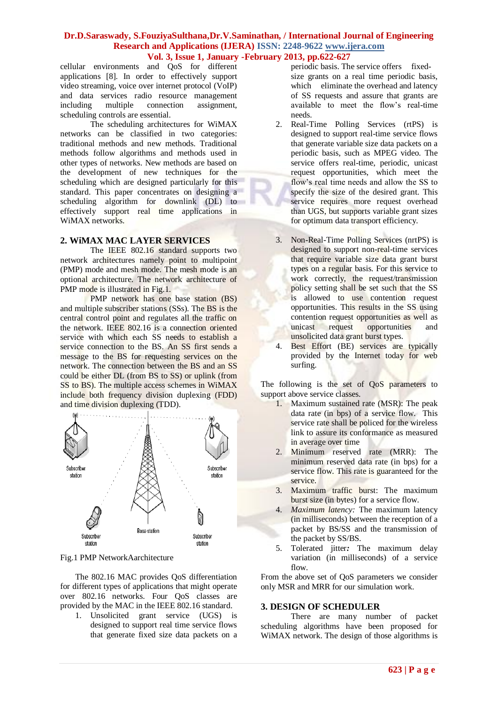cellular environments and QoS for different applications [8]. In order to effectively support video streaming, voice over internet protocol (VoIP) and data services radio resource management including multiple connection assignment, scheduling controls are essential.

The scheduling architectures for WiMAX networks can be classified in two categories: traditional methods and new methods. Traditional methods follow algorithms and methods used in other types of networks. New methods are based on the development of new techniques for the scheduling which are designed particularly for this standard. This paper concentrates on designing a scheduling algorithm for downlink (DL) to effectively support real time applications in WiMAX networks.

#### **2. WiMAX MAC LAYER SERVICES**

The IEEE 802.16 standard supports two network architectures namely point to multipoint (PMP) mode and mesh mode. The mesh mode is an optional architecture. The network architecture of PMP mode is illustrated in Fig.1.

PMP network has one base station (BS) and multiple subscriber stations (SSs). The BS is the central control point and regulates all the traffic on the network. IEEE 802.16 is a connection oriented service with which each SS needs to establish a service connection to the BS. An SS first sends a message to the BS for requesting services on the network. The connection between the BS and an SS could be either DL (from BS to SS) or uplink (from SS to BS). The multiple access schemes in WiMAX include both frequency division duplexing (FDD) and time division duplexing (TDD).



Fig.1 PMP NetworkAarchitecture

The 802.16 MAC provides QoS differentiation for different types of applications that might operate over 802.16 networks. Four QoS classes are provided by the MAC in the IEEE 802.16 standard.

1. Unsolicited grant service (UGS) is designed to support real time service flows that generate fixed size data packets on a periodic basis. The service offers fixedsize grants on a real time periodic basis, which eliminate the overhead and latency of SS requests and assure that grants are available to meet the flow's real-time needs.

- 2. Real-Time Polling Services (rtPS) is designed to support real-time service flows that generate variable size data packets on a periodic basis, such as MPEG video. The service offers real-time, periodic, unicast request opportunities, which meet the flow's real time needs and allow the SS to specify the size of the desired grant. This service requires more request overhead than UGS, but supports variable grant sizes for optimum data transport efficiency.
- 3. Non-Real-Time Polling Services (nrtPS) is designed to support non-real-time services that require variable size data grant burst types on a regular basis. For this service to work correctly, the request/transmission policy setting shall be set such that the SS is allowed to use contention request opportunities. This results in the SS using contention request opportunities as well as unicast request opportunities and unsolicited data grant burst types.
- 4. Best Effort (BE) services are typically provided by the Internet today for web surfing.

The following is the set of QoS parameters to support above service classes.

- 1. Maximum sustained rate (MSR): The peak data rate (in bps) of a service flow. This service rate shall be policed for the wireless link to assure its conformance as measured in average over time
- 2. Minimum reserved rate (MRR): The minimum reserved data rate (in bps) for a service flow. This rate is guaranteed for the service.
- 3. Maximum traffic burst: The maximum burst size (in bytes) for a service flow.
- 4. *Maximum latency:* The maximum latency (in milliseconds) between the reception of a packet by BS/SS and the transmission of the packet by SS/BS.
- 5. Tolerated jitter*:* The maximum delay variation (in milliseconds) of a service  $flow$

From the above set of QoS parameters we consider only MSR and MRR for our simulation work.

### **3. DESIGN OF SCHEDULER**

There are many number of packet scheduling algorithms have been proposed for WiMAX network. The design of those algorithms is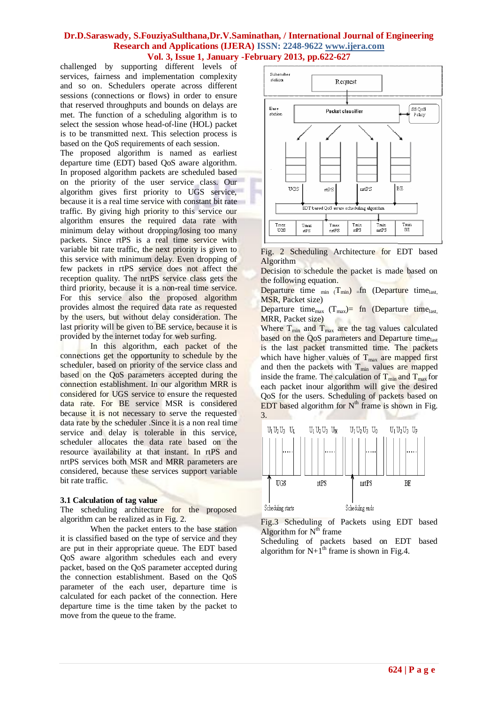challenged by supporting different levels of services, fairness and implementation complexity and so on. Schedulers operate across different sessions (connections or flows) in order to ensure that reserved throughputs and bounds on delays are met. The function of a scheduling algorithm is to select the session whose head-of-line (HOL) packet is to be transmitted next. This selection process is based on the QoS requirements of each session.

The proposed algorithm is named as earliest departure time (EDT) based QoS aware algorithm. In proposed algorithm packets are scheduled based on the priority of the user service class. Our algorithm gives first priority to UGS service, because it is a real time service with constant bit rate traffic. By giving high priority to this service our algorithm ensures the required data rate with minimum delay without dropping/losing too many packets. Since rtPS is a real time service with variable bit rate traffic, the next priority is given to this service with minimum delay. Even dropping of few packets in rtPS service does not affect the reception quality. The nrtPS service class gets the third priority, because it is a non-real time service. For this service also the proposed algorithm provides almost the required data rate as requested by the users, but without delay consideration. The last priority will be given to BE service, because it is provided by the internet today for web surfing.

In this algorithm, each packet of the connections get the opportunity to schedule by the scheduler, based on priority of the service class and based on the QoS parameters accepted during the connection establishment. In our algorithm MRR is considered for UGS service to ensure the requested data rate. For BE service MSR is considered because it is not necessary to serve the requested data rate by the scheduler .Since it is a non real time service and delay is tolerable in this service, scheduler allocates the data rate based on the resource availability at that instant. In rtPS and nrtPS services both MSR and MRR parameters are considered, because these services support variable bit rate traffic.

#### **3.1 Calculation of tag value**

The scheduling architecture for the proposed algorithm can be realized as in Fig. 2.

When the packet enters to the base station it is classified based on the type of service and they are put in their appropriate queue. The EDT based QoS aware algorithm schedules each and every packet, based on the QoS parameter accepted during the connection establishment. Based on the QoS parameter of the each user, departure time is calculated for each packet of the connection. Here departure time is the time taken by the packet to move from the queue to the frame.



Fig. 2 Scheduling Architecture for EDT based Algorithm

Decision to schedule the packet is made based on the following equation.

Departure time  $_{min}$   $(T_{min})$   $_{eff}$  (Departure time<sub>last,</sub> MSR, Packet size)

Departure time<sub>max</sub>  $(T_{\text{max}})=$  fn (Departure time<sub>last,</sub> MRR, Packet size)

Where  $T_{min}$  and  $T_{max}$  are the tag values calculated based on the QoS parameters and Departure timelast is the last packet transmitted time. The packets which have higher values of  $T_{\text{max}}$  are mapped first and then the packets with  $T_{min}$  values are mapped inside the frame. The calculation of  $T_{min}$  and  $T_{max}$  for each packet inour algorithm will give the desired QoS for the users. Scheduling of packets based on EDT based algorithm for  $N<sup>th</sup>$  frame is shown in Fig. 3.



Fig.3 Scheduling of Packets using EDT based Algorithm for  $N<sup>th</sup>$  frame

Scheduling of packets based on EDT based algorithm for  $N+1^{th}$  frame is shown in Fig.4.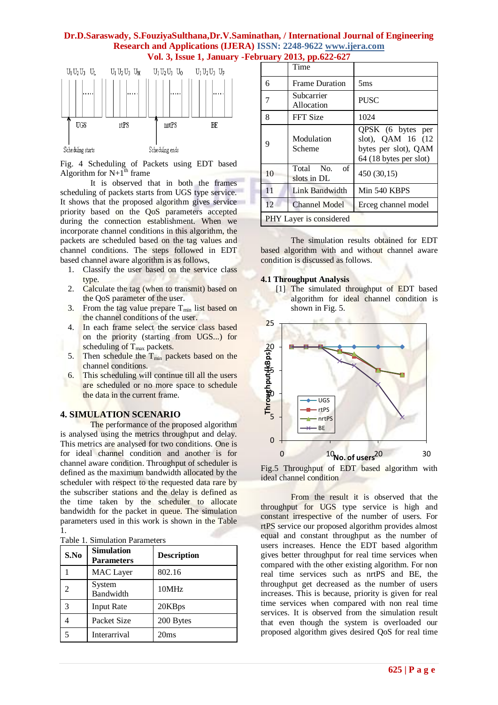

Fig. 4 Scheduling of Packets using EDT based Algorithm for  $N+1^{th}$  frame

It is observed that in both the frames scheduling of packets starts from UGS type service. It shows that the proposed algorithm gives service priority based on the QoS parameters accepted during the connection establishment. When we incorporate channel conditions in this algorithm, the packets are scheduled based on the tag values and channel conditions. The steps followed in EDT based channel aware algorithm is as follows,

- 1. Classify the user based on the service class type.
- 2. Calculate the tag (when to transmit) based on the QoS parameter of the user.
- 3. From the tag value prepare  $T_{\text{min}}$  list based on the channel conditions of the user.
- 4. In each frame select the service class based on the priority (starting from UGS...) for scheduling of  $T_{\text{max}}$  packets.
- 5. Then schedule the  $T_{min}$  packets based on the channel conditions.
- 6. This scheduling will continue till all the users are scheduled or no more space to schedule the data in the current frame.

#### **4. SIMULATION SCENARIO**

The performance of the proposed algorithm is analysed using the metrics throughput and delay. This metrics are analysed for two conditions. One is for ideal channel condition and another is for channel aware condition. Throughput of scheduler is defined as the maximum bandwidth allocated by the scheduler with respect to the requested data rare by the subscriber stations and the delay is defined as the time taken by the scheduler to allocate bandwidth for the packet in queue. The simulation parameters used in this work is shown in the Table 1.

Table 1. Simulation Parameters

| S.No | <b>Simulation</b><br><b>Parameters</b> | <b>Description</b> |
|------|----------------------------------------|--------------------|
|      | <b>MAC</b> Layer                       | 802.16             |
|      | System<br>Bandwidth                    | 10MHz              |
| 3    | <b>Input Rate</b>                      | 20KBps             |
|      | Packet Size                            | 200 Bytes          |
|      | Interarrival                           | 20ms               |

|                         | Time                              |                                                                                          |
|-------------------------|-----------------------------------|------------------------------------------------------------------------------------------|
| 6                       | <b>Frame Duration</b>             | 5ms                                                                                      |
| 7                       | Subcarrier<br>Allocation          | <b>PUSC</b>                                                                              |
| 8                       | <b>FFT Size</b>                   | 1024                                                                                     |
| 9                       | Modulation<br>Scheme              | QPSK (6 bytes per<br>slot), QAM 16 (12<br>bytes per slot), QAM<br>64 (18 bytes per slot) |
| 10                      | Total<br>No.<br>of<br>slots in DL | 450 (30,15)                                                                              |
| 11                      | Link Bandwidth                    | Min 540 KBPS                                                                             |
| 12.                     | Channel Model                     | Erceg channel model                                                                      |
| PHY Layer is considered |                                   |                                                                                          |

The simulation results obtained for EDT based algorithm with and without channel aware condition is discussed as follows.

#### **4.1 Throughput Analysis**





Fig.5 Throughput of EDT based algorithm with ideal channel condition

From the result it is observed that the throughput for UGS type service is high and constant irrespective of the number of users. For rtPS service our proposed algorithm provides almost equal and constant throughput as the number of users increases. Hence the EDT based algorithm gives better throughput for real time services when compared with the other existing algorithm. For non real time services such as nrtPS and BE, the throughput get decreased as the number of users increases. This is because, priority is given for real time services when compared with non real time services. It is observed from the simulation result that even though the system is overloaded our proposed algorithm gives desired QoS for real time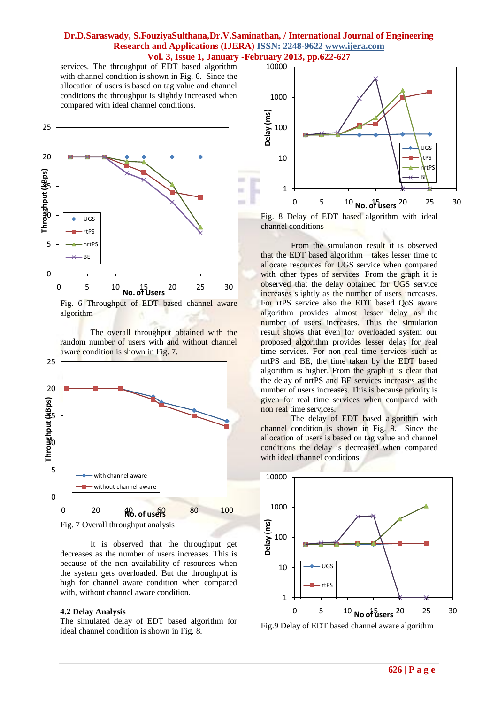services. The throughput of EDT based algorithm with channel condition is shown in Fig. 6. Since the allocation of users is based on tag value and channel conditions the throughput is slightly increased when compared with ideal channel conditions.



Fig. 6 Throughput of EDT based channel aware algorithm

The overall throughput obtained with the random number of users with and without channel aware condition is shown in Fig. 7.



It is observed that the throughput get decreases as the number of users increases. This is because of the non availability of resources when the system gets overloaded. But the throughput is high for channel aware condition when compared with, without channel aware condition.

#### **4.2 Delay Analysis**

The simulated delay of EDT based algorithm for ideal channel condition is shown in Fig. 8.



Fig. 8 Delay of EDT based algorithm with ideal channel conditions

From the simulation result it is observed that the EDT based algorithm takes lesser time to allocate resources for UGS service when compared with other types of services. From the graph it is observed that the delay obtained for UGS service increases slightly as the number of users increases. For rtPS service also the EDT based QoS aware algorithm provides almost lesser delay as the number of users increases. Thus the simulation result shows that even for overloaded system our proposed algorithm provides lesser delay for real time services. For non real time services such as nrtPS and BE, the time taken by the EDT based algorithm is higher. From the graph it is clear that the delay of nrtPS and BE services increases as the number of users increases. This is because priority is given for real time services when compared with non real time services.

The delay of EDT based algorithm with channel condition is shown in Fig. 9. Since the allocation of users is based on tag value and channel conditions the delay is decreased when compared with ideal channel conditions.



Fig.9 Delay of EDT based channel aware algorithm